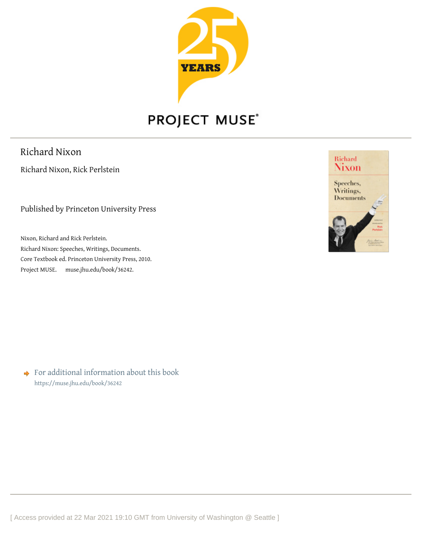

## PROJECT MUSE®

Richard Nixon

Richard Nixon, Rick Perlstein

Published by Princeton University Press

Nixon, Richard and Rick Perlstein. Richard Nixon: Speeches, Writings, Documents. Core Textbook ed. Princeton University Press, 2010. Project MUSE. muse.jhu.edu/book/362[42.](https://muse.jhu.edu)



◆ For additional information about this book <https://muse.jhu.edu/book/36242>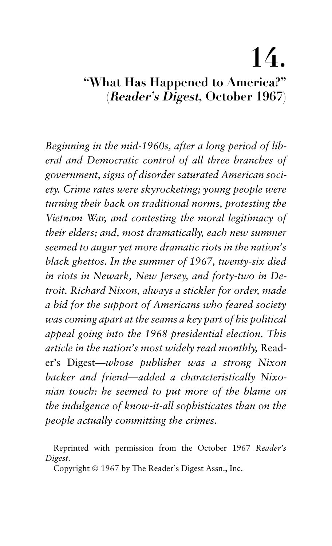# **14.**

### **"What Has Happened to America?" (Reader's Digest, October 1967)**

*Beginning in the mid-1960s, after a long period of liberal and Democratic control of all three branches of government, signs of disorder saturated American society. Crime rates were skyrocketing; young people were turning their back on traditional norms, protesting the Vietnam War, and contesting the moral legitimacy of their elders; and, most dramatically, each new summer seemed to augur yet more dramatic riots in the nation's black ghettos. In the summer of 1967, twenty-six died in riots in Newark, New Jersey, and forty-two in Detroit. Richard Nixon, always a stickler for order, made a bid for the support of Americans who feared society was coming apart at the seams a key part of his political appeal going into the 1968 presidential election. This article in the nation's most widely read monthly,* Reader's Digest*—whose publisher was a strong Nixon backer and friend—added a characteristically Nixonian touch: he seemed to put more of the blame on the indulgence of know-it-all sophisticates than on the people actually committing the crimes.*

Reprinted with permission from the October 1967 *Reader's Digest*.

Copyright © 1967 by The Reader's Digest Assn., Inc.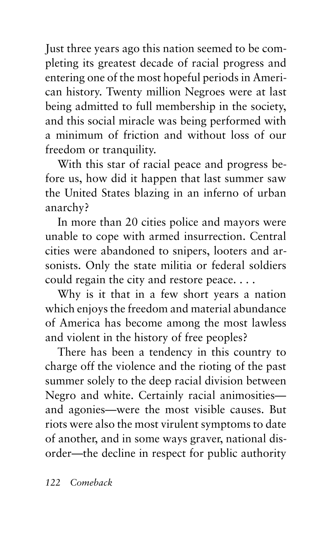Just three years ago this nation seemed to be completing its greatest decade of racial progress and entering one of the most hopeful periods in American history. Twenty million Negroes were at last being admitted to full membership in the society, and this social miracle was being performed with a minimum of friction and without loss of our freedom or tranquility.

With this star of racial peace and progress before us, how did it happen that last summer saw the United States blazing in an inferno of urban anarchy?

In more than 20 cities police and mayors were unable to cope with armed insurrection. Central cities were abandoned to snipers, looters and arsonists. Only the state militia or federal soldiers could regain the city and restore peace....

Why is it that in a few short years a nation which enjoys the freedom and material abundance of America has become among the most lawless and violent in the history of free peoples?

There has been a tendency in this country to charge off the violence and the rioting of the past summer solely to the deep racial division between Negro and white. Certainly racial animosities and agonies—were the most visible causes. But riots were also the most virulent symptoms to date of another, and in some ways graver, national disorder—the decline in respect for public authority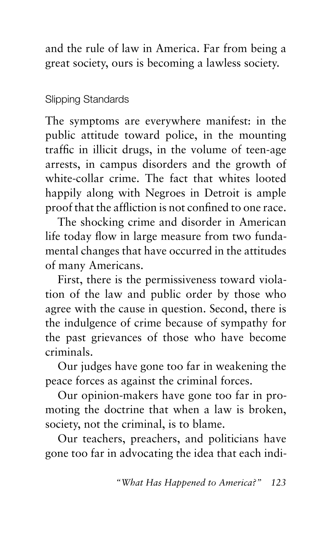and the rule of law in America. Far from being a great society, ours is becoming a lawless society.

#### Slipping Standards

The symptoms are everywhere manifest: in the public attitude toward police, in the mounting traffic in illicit drugs, in the volume of teen-age arrests, in campus disorders and the growth of white-collar crime. The fact that whites looted happily along with Negroes in Detroit is ample proof that the affliction is not confined to one race.

The shocking crime and disorder in American life today flow in large measure from two fundamental changes that have occurred in the attitudes of many Americans.

First, there is the permissiveness toward violation of the law and public order by those who agree with the cause in question. Second, there is the indulgence of crime because of sympathy for the past grievances of those who have become criminals.

Our judges have gone too far in weakening the peace forces as against the criminal forces.

Our opinion-makers have gone too far in promoting the doctrine that when a law is broken, society, not the criminal, is to blame.

Our teachers, preachers, and politicians have gone too far in advocating the idea that each indi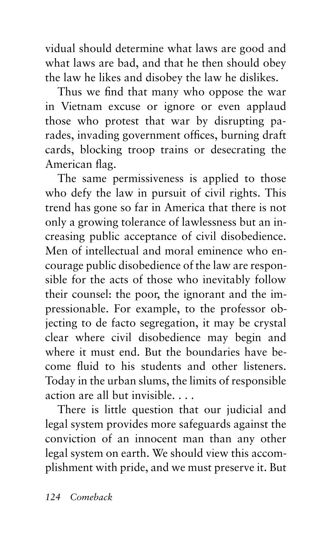vidual should determine what laws are good and what laws are bad, and that he then should obey the law he likes and disobey the law he dislikes.

Thus we find that many who oppose the war in Vietnam excuse or ignore or even applaud those who protest that war by disrupting parades, invading government offices, burning draft cards, blocking troop trains or desecrating the American flag.

The same permissiveness is applied to those who defy the law in pursuit of civil rights. This trend has gone so far in America that there is not only a growing tolerance of lawlessness but an increasing public acceptance of civil disobedience. Men of intellectual and moral eminence who encourage public disobedience of the law are responsible for the acts of those who inevitably follow their counsel: the poor, the ignorant and the impressionable. For example, to the professor objecting to de facto segregation, it may be crystal clear where civil disobedience may begin and where it must end. But the boundaries have become fluid to his students and other listeners. Today in the urban slums, the limits of responsible action are all but invisible....

There is little question that our judicial and legal system provides more safeguards against the conviction of an innocent man than any other legal system on earth. We should view this accomplishment with pride, and we must preserve it. But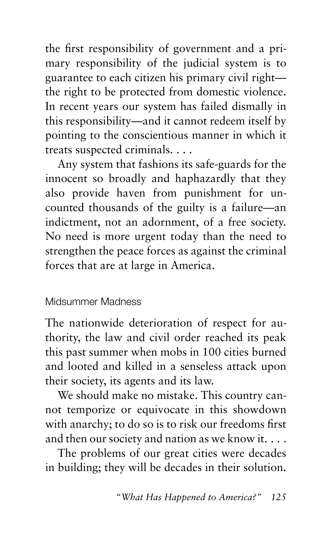the first responsibility of government and a primary responsibility of the judicial system is to guarantee to each citizen his primary civil right the right to be protected from domestic violence. In recent years our system has failed dismally in this responsibility—and it cannot redeem itself by pointing to the conscientious manner in which it treats suspected criminals....

Any system that fashions its safe-guards for the innocent so broadly and haphazardly that they also provide haven from punishment for uncounted thousands of the guilty is a failure—an indictment, not an adornment, of a free society. No need is more urgent today than the need to strengthen the peace forces as against the criminal forces that are at large in America.

#### Midsummer Madness

The nationwide deterioration of respect for authority, the law and civil order reached its peak this past summer when mobs in 100 cities burned and looted and killed in a senseless attack upon their society, its agents and its law.

We should make no mistake. This country cannot temporize or equivocate in this showdown with anarchy; to do so is to risk our freedoms first and then our society and nation as we know it....

The problems of our great cities were decades in building; they will be decades in their solution.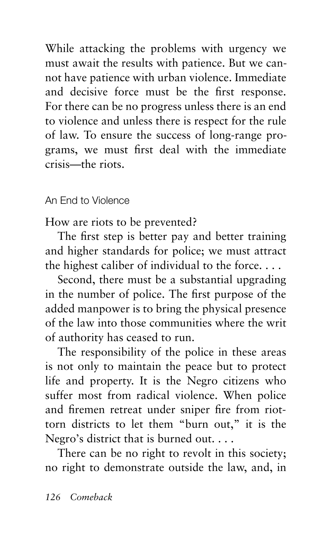While attacking the problems with urgency we must await the results with patience. But we cannot have patience with urban violence. Immediate and decisive force must be the first response. For there can be no progress unless there is an end to violence and unless there is respect for the rule of law. To ensure the success of long-range programs, we must first deal with the immediate crisis—the riots.

#### An End to Violence

How are riots to be prevented?

The first step is better pay and better training and higher standards for police; we must attract the highest caliber of individual to the force....

Second, there must be a substantial upgrading in the number of police. The first purpose of the added manpower is to bring the physical presence of the law into those communities where the writ of authority has ceased to run.

The responsibility of the police in these areas is not only to maintain the peace but to protect life and property. It is the Negro citizens who suffer most from radical violence. When police and firemen retreat under sniper fire from riottorn districts to let them "burn out," it is the Negro's district that is burned out....

There can be no right to revolt in this society; no right to demonstrate outside the law, and, in